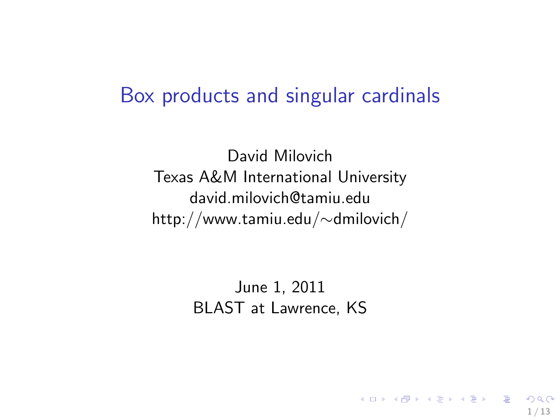#### Box products and singular cardinals

David Milovich Texas A&M International University david.milovich@tamiu.edu http://www.tamiu.edu/∼dmilovich/

> June 1, 2011 BLAST at Lawrence, KS

> > 1 / 13

 $\Omega$ 

K ロ X K @ X K 경 X X 경 X X 경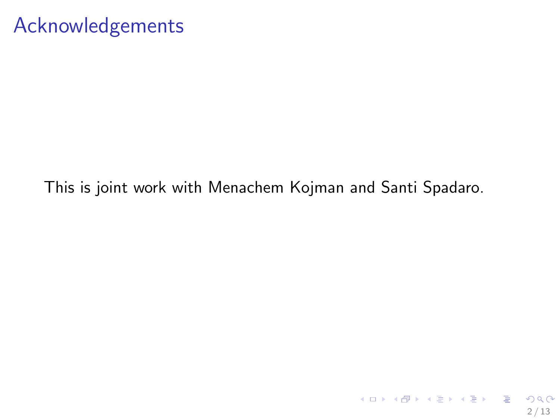# Acknowledgements

#### This is joint work with Menachem Kojman and Santi Spadaro.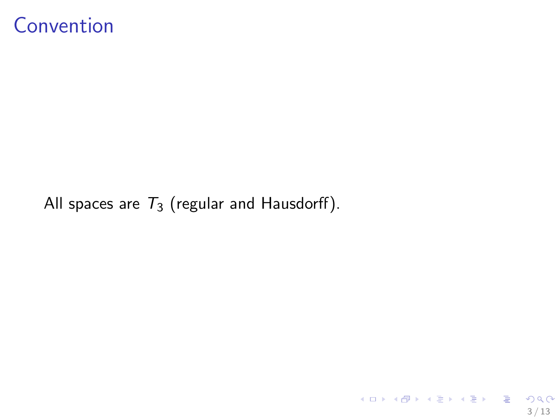### Convention

All spaces are  $T_3$  (regular and Hausdorff).

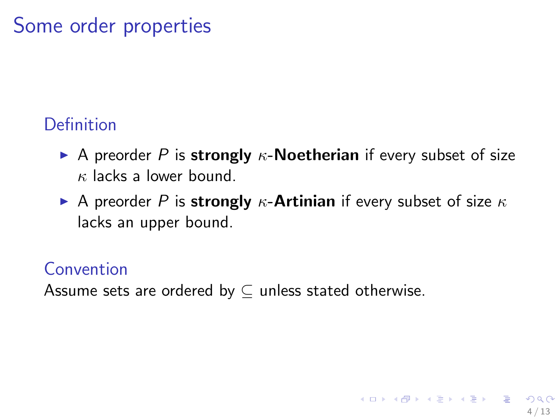# Some order properties

#### Definition

- A preorder P is strongly  $\kappa$ -Noetherian if every subset of size  $\kappa$  lacks a lower bound.
- A preorder P is strongly  $\kappa$ -Artinian if every subset of size  $\kappa$ lacks an upper bound.

4 / 13

#### Convention

Assume sets are ordered by  $\subseteq$  unless stated otherwise.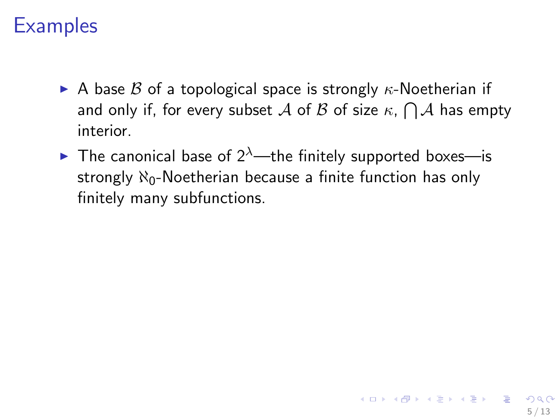# **Examples**

- A base  $\beta$  of a topological space is strongly  $\kappa$ -Noetherian if and only if, for every subset  ${\mathcal A}$  of  ${\mathcal B}$  of size  $\kappa,\bigcap{\mathcal A}$  has empty interior.
- **The canonical base of 2<sup>λ</sup>—the finitely supported boxes—is** strongly  $\aleph_0$ -Noetherian because a finite function has only finitely many subfunctions.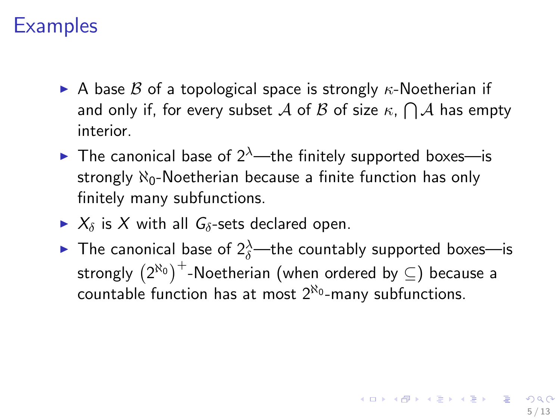# **Examples**

- A base  $\beta$  of a topological space is strongly  $\kappa$ -Noetherian if and only if, for every subset  ${\mathcal A}$  of  ${\mathcal B}$  of size  $\kappa,\bigcap{\mathcal A}$  has empty interior.
- **The canonical base of 2<sup>λ</sup>—the finitely supported boxes—is** strongly  $\aleph_0$ -Noetherian because a finite function has only finitely many subfunctions.
- $\triangleright$   $X_{\delta}$  is X with all  $G_{\delta}$ -sets declared open.
- $\blacktriangleright$  The canonical base of  $2^{\lambda}_{\delta}$ —the countably supported boxes—is strongly  ${(2^{\aleph_0})}^+$ -Noetherian (when ordered by  $\subseteq$ ) because a countable function has at most  $2^{\aleph_0}$ -many subfunctions.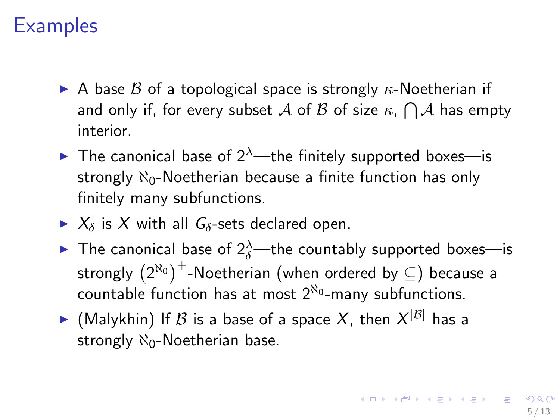# **Examples**

- A base  $\beta$  of a topological space is strongly  $\kappa$ -Noetherian if and only if, for every subset  ${\mathcal A}$  of  ${\mathcal B}$  of size  $\kappa,\bigcap{\mathcal A}$  has empty interior.
- **The canonical base of 2<sup>** $\lambda$ **</sup>—the finitely supported boxes—is** strongly  $\aleph_0$ -Noetherian because a finite function has only finitely many subfunctions.
- $\triangleright$   $X_{\delta}$  is X with all  $G_{\delta}$ -sets declared open.
- $\blacktriangleright$  The canonical base of  $2^{\lambda}_{\delta}$ —the countably supported boxes—is strongly  ${(2^{\aleph_0})}^+$ -Noetherian (when ordered by  $\subseteq$ ) because a countable function has at most  $2^{\aleph_0}$ -many subfunctions.
- $\blacktriangleright$  (Malykhin) If  ${\mathcal B}$  is a base of a space  $X$ , then  $X^{|{\mathcal B}|}$  has a strongly  $\aleph_0$ -Noetherian base.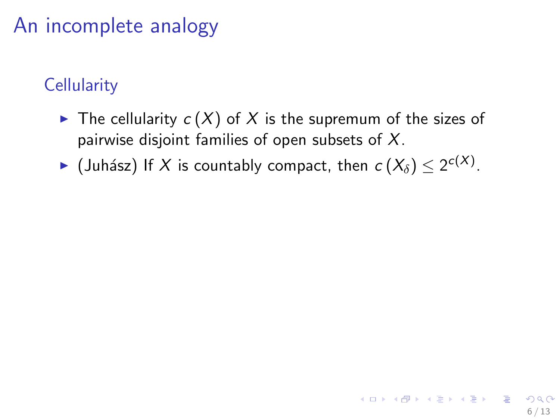# An incomplete analogy

### **Cellularity**

- $\triangleright$  The cellularity  $c(X)$  of X is the supremum of the sizes of pairwise disjoint families of open subsets of  $X$ .
- ► (Juhász) If X is countably compact, then  $c(X_\delta) \leq 2^{c(X)}$ .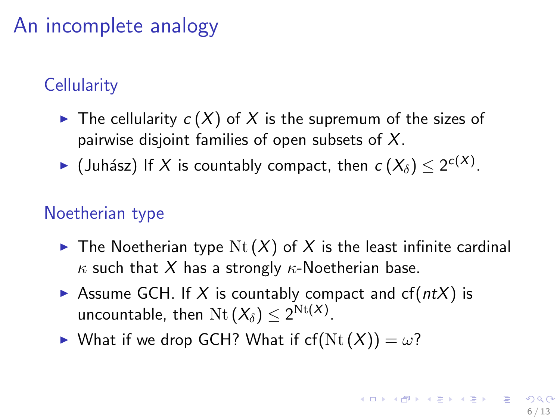# An incomplete analogy

### **Cellularity**

- $\triangleright$  The cellularity  $c(X)$  of X is the supremum of the sizes of pairwise disjoint families of open subsets of  $X$ .
- ► (Juhász) If X is countably compact, then  $c(X_\delta) \leq 2^{c(X)}$ .

#### Noetherian type

- $\triangleright$  The Noetherian type Nt  $(X)$  of X is the least infinite cardinal  $\kappa$  such that X has a strongly  $\kappa$ -Noetherian base.
- Assume GCH. If X is countably compact and  $cf(ntX)$  is uncountable, then  $\mathrm{Nt}\left( X_{\delta}\right) \leq2^{\mathrm{Nt}(X)}.$
- $\triangleright$  What if we drop GCH? What if cf(Nt(X)) =  $\omega$ ?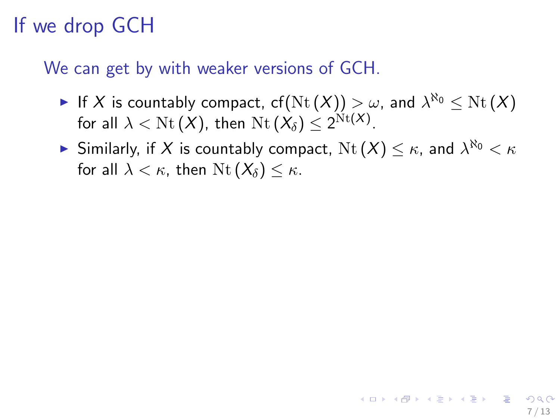# If we drop GCH

#### We can get by with weaker versions of GCH.

- ► If X is countably compact, cf $(\operatorname{Nt}(X)) > \omega$ , and  $\lambda^{\aleph_0} \leq \operatorname{Nt}(X)$ for all  $\lambda < \operatorname{Nt}(X)$ , then  $\operatorname{Nt}(X_\delta) \leq 2^{\operatorname{Nt}(X)}$ .
- $\blacktriangleright$  Similarly, if  $X$  is countably compact,  $\mathrm{Nt}\,(X) \leq \kappa$ , and  $\lambda^{\aleph_0} < \kappa$ for all  $\lambda < \kappa$ , then  $\mathrm{Nt}(X_\delta) \leq \kappa$ .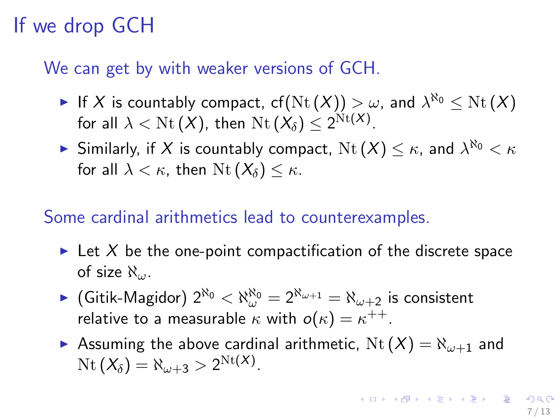# If we drop GCH

#### We can get by with weaker versions of GCH.

- ► If X is countably compact, cf $(\operatorname{Nt}(X)) > \omega$ , and  $\lambda^{\aleph_0} \leq \operatorname{Nt}(X)$ for all  $\lambda < \operatorname{Nt}(X)$ , then  $\operatorname{Nt}(X_\delta) \leq 2^{\operatorname{Nt}(X)}$ .
- $\blacktriangleright$  Similarly, if  $X$  is countably compact,  $\mathrm{Nt}\,(X) \leq \kappa$ , and  $\lambda^{\aleph_0} < \kappa$ for all  $\lambda < \kappa$ , then Nt  $(X_\delta) < \kappa$ .

#### Some cardinal arithmetics lead to counterexamples.

- In Let X be the one-point compactification of the discrete space of size  $\aleph_{\omega}$ .
- $\blacktriangleright$  (Gitik-Magidor)  $2^{\aleph_0} < \aleph_\omega^{\aleph_0} = 2^{\aleph_{\omega+1}} = \aleph_{\omega+2}$  is consistent relative to a measurable  $\kappa$  with  $o(\kappa)=\kappa^{++}.$
- Assuming the above cardinal arithmetic,  $Nt(X) = \aleph_{\omega+1}$  and  $\operatorname{Nt}(\mathsf{X}_{\delta}) = \aleph_{\omega+3} > 2^{\operatorname{Nt}(X)}.$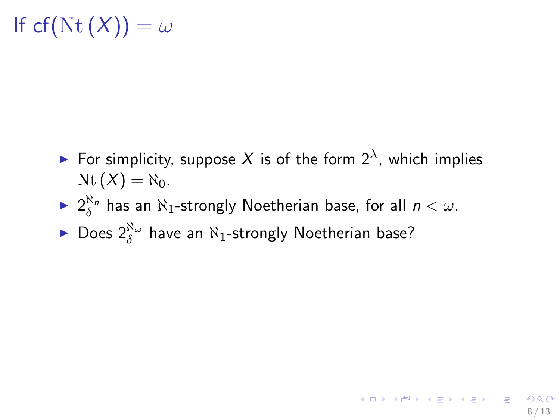# If cf(Nt(X)) =  $\omega$

- For simplicity, suppose X is of the form  $2^{\lambda}$ , which implies  $\mathrm{Nt}(X) = \aleph_0$ .
- $\blacktriangleright$   $2^{\aleph_n}_{\delta}$  has an  $\aleph_1$ -strongly Noetherian base, for all  $n < \omega$ .
- ► Does  $2^{\aleph_\omega}_\delta$  have an  $\aleph_1$ -strongly Noetherian base?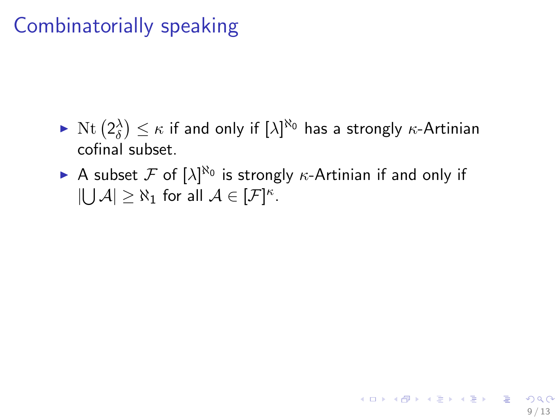# Combinatorially speaking

- $\blacktriangleright$   $\mathrm{Nt}\left(2_\delta^\lambda\right)\leq\kappa$  if and only if  $[\lambda]^{\aleph_0}$  has a strongly  $\kappa$ -Artinian cofinal subset.
- A subset F of  $[\lambda]^{N_0}$  is strongly  $\kappa$ -Artinian if and only if  $|\bigcup \mathcal{A}| \geq \aleph_1$  for all  $\mathcal{A} \in [\mathcal{F}]^{\kappa}$ .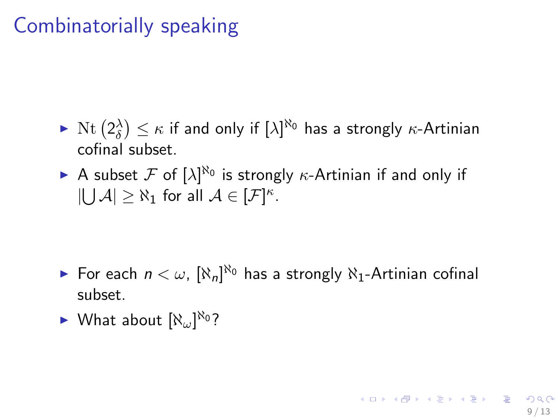# Combinatorially speaking

- $\blacktriangleright$   $\mathrm{Nt}\left(2_\delta^\lambda\right)\leq\kappa$  if and only if  $[\lambda]^{\aleph_0}$  has a strongly  $\kappa$ -Artinian cofinal subset.
- A subset F of  $[\lambda]^{N_0}$  is strongly  $\kappa$ -Artinian if and only if  $|\bigcup \mathcal{A}| \geq \aleph_1$  for all  $\mathcal{A} \in [\mathcal{F}]^{\kappa}$ .

- ► For each  $n < \omega$ ,  $[\aleph_n]^{\aleph_0}$  has a strongly  $\aleph_1$ -Artinian cofinal subset.
- $\blacktriangleright$  What about  $[\aleph_\omega]^{\aleph_0}$ ?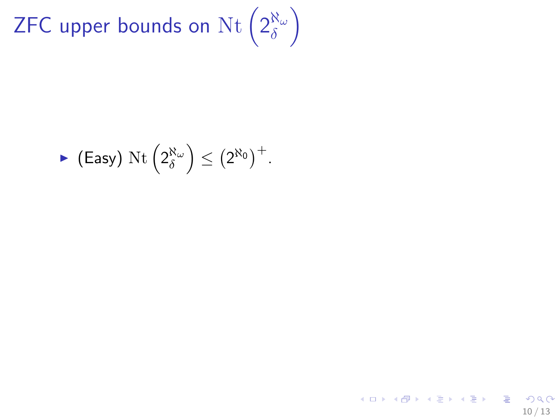ZFC upper bounds on  $\operatorname{Nt}(2^{\aleph_\omega}_\delta)$  $\delta$  $\setminus$ 

$$
\blacktriangleright \text{ (Easy) } \mathrm{Nt}\left(2_\delta^{\aleph_\omega}\right) \leq \left(2^{\aleph_0}\right)^+.
$$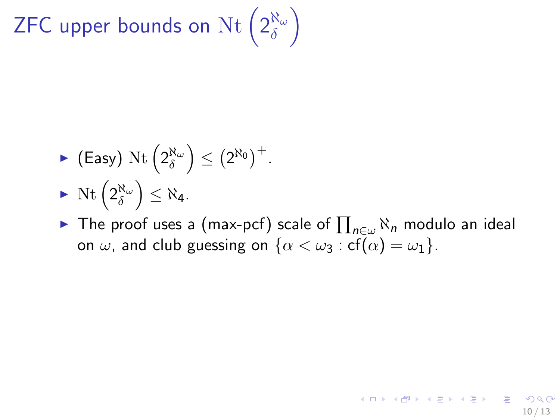ZFC upper bounds on  $\operatorname{Nt}(2^{\aleph_\omega}_\delta)$  $\delta$  $\setminus$ 

▶ (Easy) Nt 
$$
\left(2_{\delta}^{\aleph_{\omega}}\right) \leq \left(2^{\aleph_0}\right)^{+}
$$
.  
▶ Nt  $\left(2_{\delta}^{\aleph_{\omega}}\right) \leq \aleph_4$ .

► The proof uses a (max-pcf) scale of  $\prod_{n\in\omega}\aleph_n$  modulo an ideal on  $\omega$ , and club guessing on  $\{\alpha < \omega_3 : cf(\alpha) = \omega_1\}.$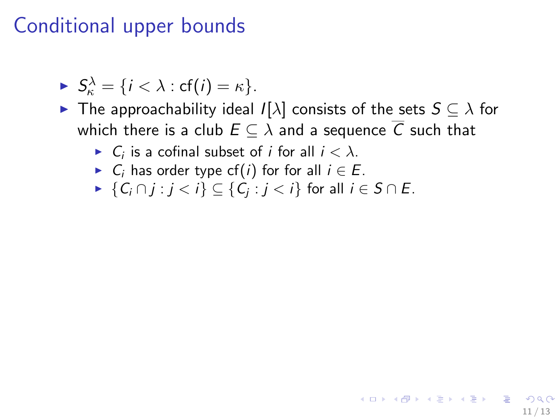$$
\blacktriangleright S_{\kappa}^{\lambda} = \{i < \lambda : \text{cf}(i) = \kappa\}.
$$

► The approachability ideal  $I[\lambda]$  consists of the sets  $S \subseteq \lambda$  for which there is a club  $E \subseteq \lambda$  and a sequence  $\overline{C}$  such that

11 / 13

イロト 不優 ト 不思 ト 不思 トー 理

- $\blacktriangleright$   $C_i$  is a cofinal subset of *i* for all  $i < \lambda$ .
- $\triangleright$  C<sub>i</sub> has order type cf(i) for for all  $i \in E$ .
- $\blacktriangleright \{C_i \cap j : j < i\} \subseteq \{C_j : j < i\}$  for all  $i \in S \cap E$ .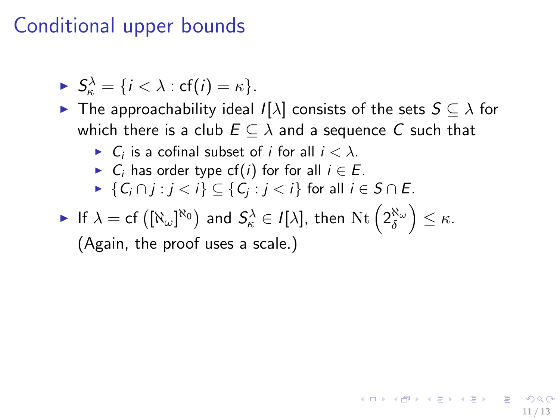$$
\blacktriangleright S_{\kappa}^{\lambda} = \{i < \lambda : \text{cf}(i) = \kappa\}.
$$

- $\triangleright$  The approachability ideal  $I[\lambda]$  consists of the sets  $S \subseteq \lambda$  for which there is a club  $E \subseteq \lambda$  and a sequence  $\overline{C}$  such that
	- $\blacktriangleright$   $C_i$  is a cofinal subset of *i* for all  $i < \lambda$ .
	- $\triangleright$  C<sub>i</sub> has order type cf(i) for for all  $i \in E$ .
	- $\blacktriangleright \{C_i \cap j : j < i\} \subseteq \{C_j : j < i\}$  for all  $i \in S \cap E$ .
- $\blacktriangleright$  If  $\lambda=\text{cf}\left([\aleph_\omega]^{\aleph_0}\right)$  and  $S^\lambda_\kappa\in I[\lambda],$  then  $\text{Nt}\left(2^{\aleph_\omega}_\delta\right)\leq\kappa.$

(Again, the proof uses a scale.)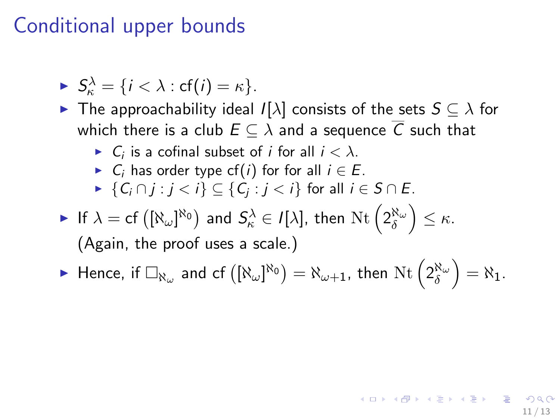$$
\blacktriangleright S_{\kappa}^{\lambda} = \{i < \lambda : \text{cf}(i) = \kappa\}.
$$

- $\triangleright$  The approachability ideal  $I[\lambda]$  consists of the sets  $S \subseteq \lambda$  for which there is a club  $E \subseteq \lambda$  and a sequence  $\overline{C}$  such that
	- $\blacktriangleright$   $C_i$  is a cofinal subset of *i* for all  $i < \lambda$ .
	- $\triangleright$  C<sub>i</sub> has order type cf(i) for for all  $i \in E$ .
	- $\blacktriangleright \{C_i \cap j : j < i\} \subseteq \{C_j : j < i\}$  for all  $i \in S \cap E$ .
- $\blacktriangleright$  If  $\lambda=\text{cf}\left([\aleph_\omega]^{\aleph_0}\right)$  and  $S^\lambda_\kappa\in I[\lambda],$  then  $\text{Nt}\left(2^{\aleph_\omega}_\delta\right)\leq\kappa.$ (Again, the proof uses a scale.)

$$
\blacktriangleright \text{ Hence, if } \Box_{\aleph_\omega} \text{ and cf } ([\aleph_\omega]^{\aleph_0}) = \aleph_{\omega+1}, \text{ then } \mathrm{Nt}\left(2_\delta^{\aleph_\omega}\right) = \aleph_1.
$$

11 / 13

イロメ イ団メ イモメ イモメー 毛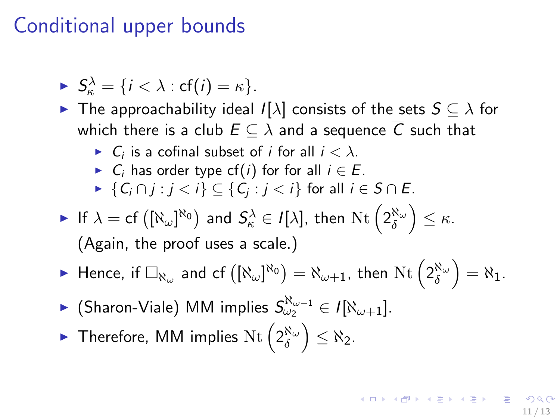$$
\blacktriangleright S_{\kappa}^{\lambda} = \{i < \lambda : \text{cf}(i) = \kappa\}.
$$

- $\triangleright$  The approachability ideal  $I[\lambda]$  consists of the sets  $S \subseteq \lambda$  for which there is a club  $E \subseteq \lambda$  and a sequence  $\overline{C}$  such that
	- $\blacktriangleright$   $C_i$  is a cofinal subset of *i* for all  $i < \lambda$ .
	- $\triangleright$  C<sub>i</sub> has order type cf(i) for for all  $i \in E$ .
	- $\blacktriangleright \{C_i \cap j : j < i\} \subseteq \{C_j : j < i\}$  for all  $i \in S \cap E$ .
- $\blacktriangleright$  If  $\lambda=\text{cf}\left([\aleph_\omega]^{\aleph_0}\right)$  and  $S^\lambda_\kappa\in I[\lambda],$  then  $\text{Nt}\left(2^{\aleph_\omega}_\delta\right)\leq\kappa.$ (Again, the proof uses a scale.)
- $\blacktriangleright$  Hence, if  $\Box_{\aleph_\omega}$  and cf  $\left([\aleph_\omega]^{\aleph_0}\right)=\aleph_{\omega+1}$ , then  $\mathrm{Nt}\left(2_\delta^{\aleph_\omega}\right)=\aleph_1.$
- ► (Sharon-Viale) MM implies  $S_{\omega_2}^{\aleph_{\omega+1}} \in I[\aleph_{\omega+1}].$
- ► Therefore, MM implies  $\text{Nt} \left( 2^{\aleph_{\omega}}_{\delta} \right) \leq \aleph_2$ .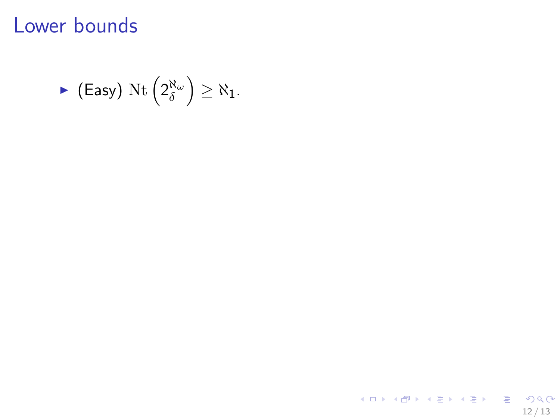# Lower bounds

$$
\blacktriangleright \text{ (Easy) } \mathrm{Nt}\left(2^{\aleph_\omega}_\delta\right) \geq \aleph_1.
$$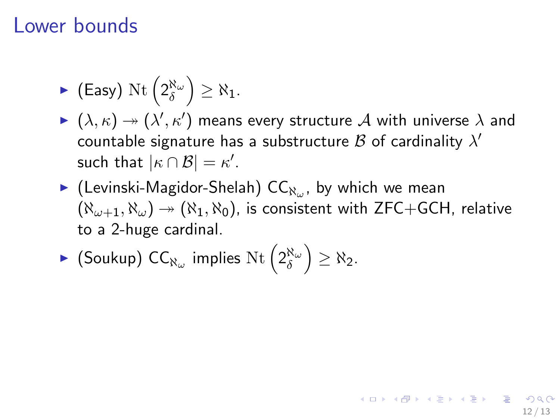### Lower bounds

• (Easy) 
$$
\text{Nt}\left(2_{\delta}^{\aleph_{\omega}}\right) \geq \aleph_1
$$
.

- $\blacktriangleright (\lambda, \kappa) \twoheadrightarrow (\lambda', \kappa')$  means every structure  ${\cal A}$  with universe  $\lambda$  and countable signature has a substructure  $\mathcal B$  of cardinality  $\lambda'$ such that  $|\kappa \cap \mathcal{B}| = \kappa'.$
- $\blacktriangleright$  (Levinski-Magidor-Shelah) CC $_{\aleph_\omega}$ , by which we mean  $(\aleph_{\omega+1}, \aleph_{\omega}) \rightarrow (\aleph_1, \aleph_0)$ , is consistent with ZFC+GCH, relative to a 2-huge cardinal.

12 / 13

K ロ X K @ X K 할 X K 할 X ( 할 X

• (Soukup) 
$$
CC_{\aleph_{\omega}}
$$
 implies  $\text{Nt} \left(2_{\delta}^{\aleph_{\omega}}\right) \geq \aleph_2$ .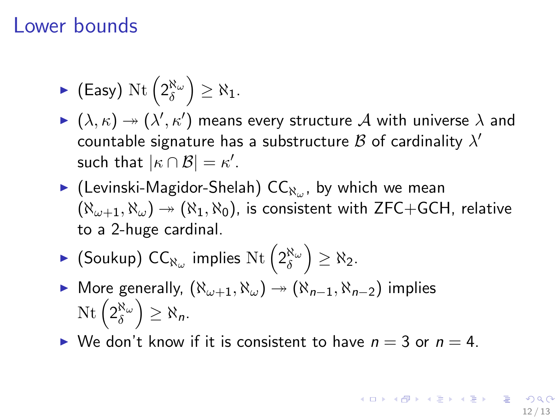### Lower bounds

• (Easy) 
$$
\text{Nt}\left(2_{\delta}^{\aleph_{\omega}}\right) \geq \aleph_1
$$
.

- $\blacktriangleright (\lambda, \kappa) \twoheadrightarrow (\lambda', \kappa')$  means every structure  ${\cal A}$  with universe  $\lambda$  and countable signature has a substructure  $\mathcal B$  of cardinality  $\lambda'$ such that  $|\kappa \cap \mathcal{B}| = \kappa'.$
- $\blacktriangleright$  (Levinski-Magidor-Shelah) CC $_{\aleph_\omega}$ , by which we mean  $(\aleph_{\omega+1}, \aleph_{\omega}) \rightarrow (\aleph_1, \aleph_0)$ , is consistent with ZFC+GCH, relative to a 2-huge cardinal.
- ► (Soukup)  $\mathsf{CC}_{\aleph_{\omega}}$  implies  $\mathrm{Nt}\left(2_{\delta}^{\aleph_{\omega}}\right) \geq \aleph_2$ .
- ► More generally,  $(N_{\omega+1}, N_{\omega}) \rightarrow (N_{n-1}, N_{n-2})$  implies  $\mathrm{Nt}\left(2_\delta^{\aleph_\omega}\right)\geq\aleph_n.$
- $\triangleright$  We don't know if it is consistent to have  $n = 3$  or  $n = 4$ .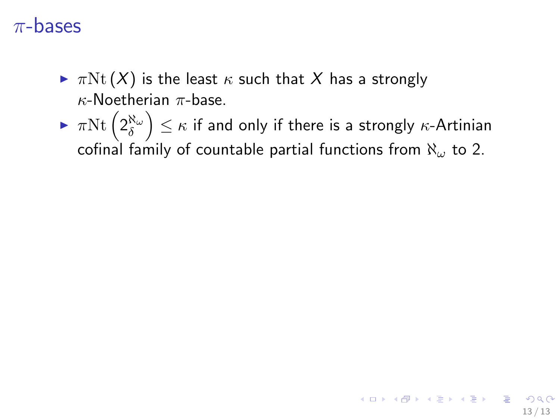- $\blacktriangleright \pi$ Nt  $(X)$  is the least  $\kappa$  such that X has a strongly  $\kappa$ -Noetherian  $\pi$ -base.
- $\blacktriangleright \ \pi \mathrm{Nt}\left(2_\delta^{\aleph_\omega}\right) \leq \kappa$  if and only if there is a strongly  $\kappa$ -Artinian cofinal family of countable partial functions from  $\aleph_{\omega}$  to 2.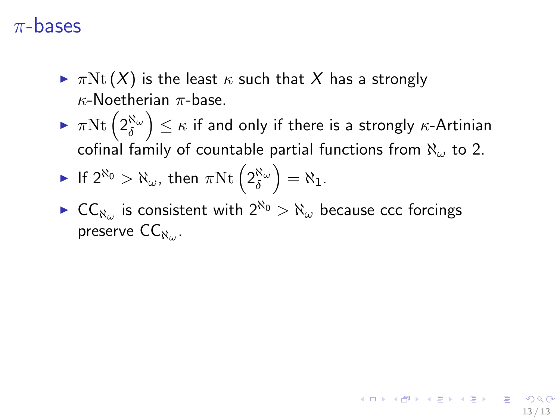- $\blacktriangleright \pi Nt(X)$  is the least  $\kappa$  such that X has a strongly κ-Noetherian π-base.
- $\blacktriangleright \ \pi \mathrm{Nt}\left(2_\delta^{\aleph_\omega}\right) \leq \kappa$  if and only if there is a strongly  $\kappa$ -Artinian cofinal family of countable partial functions from  $\aleph_{\omega}$  to 2.
- $\blacktriangleright$  If  $2^{\aleph_0} > \aleph_\omega$ , then  $\pi \mathrm{Nt} \left( 2^{\aleph_\omega}_\delta \right) = \aleph_1$ .
- ►  $CC_{\aleph_{\omega}}$  is consistent with  $2^{\aleph_0} > \aleph_{\omega}$  because ccc forcings preserve  $\mathsf{CC}_{\aleph_\omega}.$

13 / 13

K ロ ▶ K @ ▶ K 할 > K 할 > 1 할 → 9 Q Q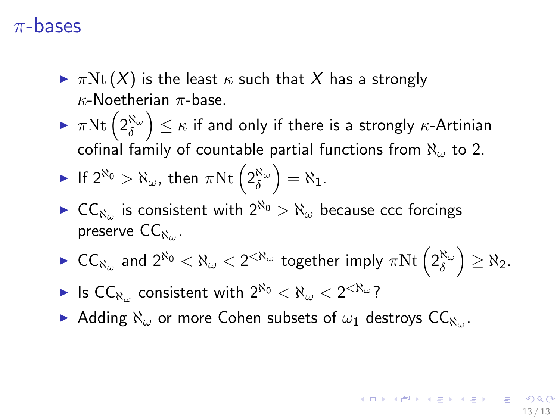- $\blacktriangleright \pi Nt(X)$  is the least  $\kappa$  such that X has a strongly  $\kappa$ -Noetherian  $\pi$ -base.
- $\blacktriangleright \ \pi \mathrm{Nt}\left(2_\delta^{\aleph_\omega}\right) \leq \kappa$  if and only if there is a strongly  $\kappa$ -Artinian cofinal family of countable partial functions from  $\aleph_{\omega}$  to 2.

• If 
$$
2^{\aleph_0} > \aleph_\omega
$$
, then  $\pi \text{Nt} \left( 2^{\aleph_\omega}_{\delta} \right) = \aleph_1$ .

- ►  $CC_{\aleph_{\omega}}$  is consistent with  $2^{\aleph_0} > \aleph_{\omega}$  because ccc forcings preserve  $\mathsf{CC}_{\aleph_\omega}.$
- $\blacktriangleright \;\mathsf{CC}_{\aleph_\omega}$  and  $2^{\aleph_0} < \aleph_\omega < 2^{<\aleph_\omega}$  together imply  $\pi\mathrm{Nt}\left(2^{\aleph_\omega}_\delta\right) \geq \aleph_2.$

13 / 13

K ロ X K 個 X K 重 X K 重 X (重 X ) 重 → の

- $\blacktriangleright$  Is  $\mathsf{CC}_{\aleph_\omega}$  consistent with  $2^{\aleph_0} < \aleph_\omega < 2^{<\aleph_\omega}$ ?
- Adding  $\aleph_\omega$  or more Cohen subsets of  $\omega_1$  destroys  $CC_{\aleph_\omega}$ .